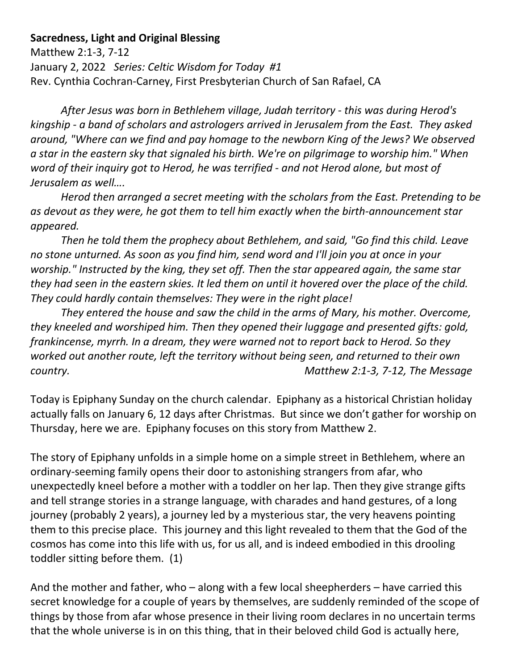## **Sacredness, Light and Original Blessing**

Matthew 2:1-3, 7-12 January 2, 2022 *Series: Celtic Wisdom for Today #1* Rev. Cynthia Cochran-Carney, First Presbyterian Church of San Rafael, CA

*After Jesus was born in Bethlehem village, Judah territory - this was during Herod's kingship - a band of scholars and astrologers arrived in Jerusalem from the East. They asked around, "Where can we find and pay homage to the newborn King of the Jews? We observed a star in the eastern sky that signaled his birth. We're on pilgrimage to worship him." When word of their inquiry got to Herod, he was terrified - and not Herod alone, but most of Jerusalem as well….*

*Herod then arranged a secret meeting with the scholars from the East. Pretending to be as devout as they were, he got them to tell him exactly when the birth-announcement star appeared.*

*Then he told them the prophecy about Bethlehem, and said, "Go find this child. Leave no stone unturned. As soon as you find him, send word and I'll join you at once in your worship." Instructed by the king, they set off. Then the star appeared again, the same star they had seen in the eastern skies. It led them on until it hovered over the place of the child. They could hardly contain themselves: They were in the right place!* 

*They entered the house and saw the child in the arms of Mary, his mother. Overcome, they kneeled and worshiped him. Then they opened their luggage and presented gifts: gold, frankincense, myrrh. In a dream, they were warned not to report back to Herod. So they worked out another route, left the territory without being seen, and returned to their own country. Matthew 2:1-3, 7-12, The Message*

Today is Epiphany Sunday on the church calendar. Epiphany as a historical Christian holiday actually falls on January 6, 12 days after Christmas. But since we don't gather for worship on Thursday, here we are. Epiphany focuses on this story from Matthew 2.

The story of Epiphany unfolds in a simple home on a simple street in Bethlehem, where an ordinary-seeming family opens their door to astonishing strangers from afar, who unexpectedly kneel before a mother with a toddler on her lap. Then they give strange gifts and tell strange stories in a strange language, with charades and hand gestures, of a long journey (probably 2 years), a journey led by a mysterious star, the very heavens pointing them to this precise place. This journey and this light revealed to them that the God of the cosmos has come into this life with us, for us all, and is indeed embodied in this drooling toddler sitting before them. (1)

And the mother and father, who – along with a few local sheepherders – have carried this secret knowledge for a couple of years by themselves, are suddenly reminded of the scope of things by those from afar whose presence in their living room declares in no uncertain terms that the whole universe is in on this thing, that in their beloved child God is actually here,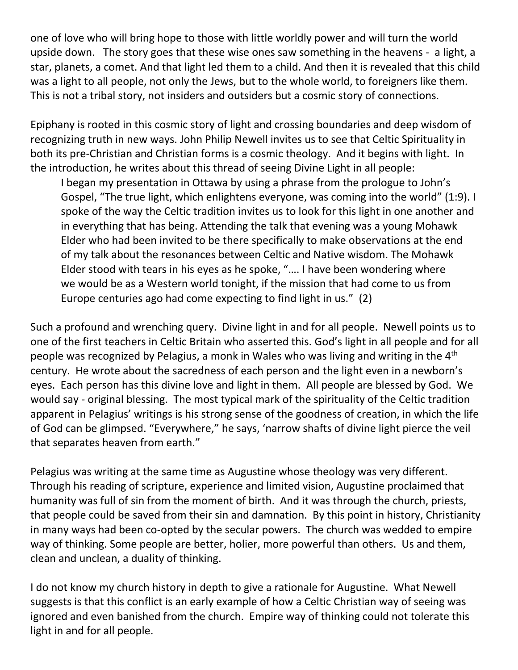one of love who will bring hope to those with little worldly power and will turn the world upside down. The story goes that these wise ones saw something in the heavens - a light, a star, planets, a comet. And that light led them to a child. And then it is revealed that this child was a light to all people, not only the Jews, but to the whole world, to foreigners like them. This is not a tribal story, not insiders and outsiders but a cosmic story of connections.

Epiphany is rooted in this cosmic story of light and crossing boundaries and deep wisdom of recognizing truth in new ways. John Philip Newell invites us to see that Celtic Spirituality in both its pre-Christian and Christian forms is a cosmic theology. And it begins with light. In the introduction, he writes about this thread of seeing Divine Light in all people:

I began my presentation in Ottawa by using a phrase from the prologue to John's Gospel, "The true light, which enlightens everyone, was coming into the world" (1:9). I spoke of the way the Celtic tradition invites us to look for this light in one another and in everything that has being. Attending the talk that evening was a young Mohawk Elder who had been invited to be there specifically to make observations at the end of my talk about the resonances between Celtic and Native wisdom. The Mohawk Elder stood with tears in his eyes as he spoke, "…. I have been wondering where we would be as a Western world tonight, if the mission that had come to us from Europe centuries ago had come expecting to find light in us." (2)

Such a profound and wrenching query. Divine light in and for all people. Newell points us to one of the first teachers in Celtic Britain who asserted this. God's light in all people and for all people was recognized by Pelagius, a monk in Wales who was living and writing in the 4th century. He wrote about the sacredness of each person and the light even in a newborn's eyes. Each person has this divine love and light in them. All people are blessed by God. We would say - original blessing. The most typical mark of the spirituality of the Celtic tradition apparent in Pelagius' writings is his strong sense of the goodness of creation, in which the life of God can be glimpsed. "Everywhere," he says, 'narrow shafts of divine light pierce the veil that separates heaven from earth."

Pelagius was writing at the same time as Augustine whose theology was very different. Through his reading of scripture, experience and limited vision, Augustine proclaimed that humanity was full of sin from the moment of birth. And it was through the church, priests, that people could be saved from their sin and damnation. By this point in history, Christianity in many ways had been co-opted by the secular powers. The church was wedded to empire way of thinking. Some people are better, holier, more powerful than others. Us and them, clean and unclean, a duality of thinking.

I do not know my church history in depth to give a rationale for Augustine. What Newell suggests is that this conflict is an early example of how a Celtic Christian way of seeing was ignored and even banished from the church. Empire way of thinking could not tolerate this light in and for all people.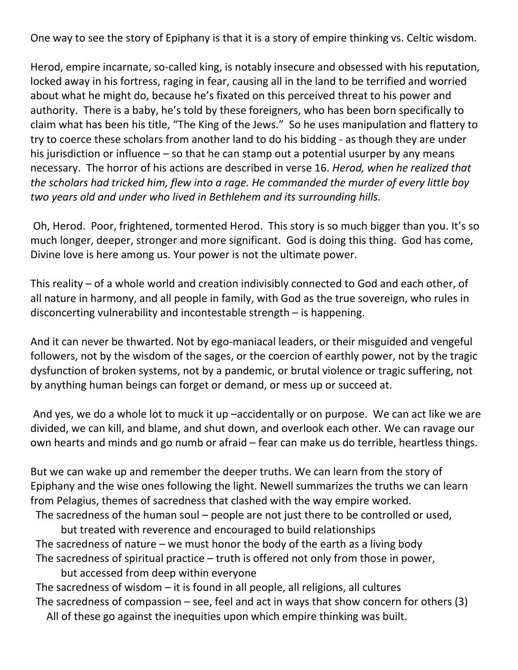One way to see the story of Epiphany is that it is a story of empire thinking vs. Celtic wisdom.

Herod, empire incarnate, so-called king, is notably insecure and obsessed with his reputation, locked away in his fortress, raging in fear, causing all in the land to be terrified and worried about what he might do, because he's fixated on this perceived threat to his power and authority. There is a baby, he's told by these foreigners, who has been born specifically to claim what has been his title, "The King of the Jews." So he uses manipulation and flattery to try to coerce these scholars from another land to do his bidding - as though they are under his jurisdiction or influence – so that he can stamp out a potential usurper by any means necessary. The horror of his actions are described in verse 16. *Herod, when he realized that the scholars had tricked him, flew into a rage. He commanded the murder of every little boy two years old and under who lived in Bethlehem and its surrounding hills.*

Oh, Herod. Poor, frightened, tormented Herod. This story is so much bigger than you. It's so much longer, deeper, stronger and more significant. God is doing this thing. God has come, Divine love is here among us. Your power is not the ultimate power.

This reality – of a whole world and creation indivisibly connected to God and each other, of all nature in harmony, and all people in family, with God as the true sovereign, who rules in disconcerting vulnerability and incontestable strength – is happening.

And it can never be thwarted. Not by ego-maniacal leaders, or their misguided and vengeful followers, not by the wisdom of the sages, or the coercion of earthly power, not by the tragic dysfunction of broken systems, not by a pandemic, or brutal violence or tragic suffering, not by anything human beings can forget or demand, or mess up or succeed at.

And yes, we do a whole lot to muck it up –accidentally or on purpose. We can act like we are divided, we can kill, and blame, and shut down, and overlook each other. We can ravage our own hearts and minds and go numb or afraid – fear can make us do terrible, heartless things.

But we can wake up and remember the deeper truths. We can learn from the story of Epiphany and the wise ones following the light. Newell summarizes the truths we can learn from Pelagius, themes of sacredness that clashed with the way empire worked.

 The sacredness of the human soul – people are not just there to be controlled or used, but treated with reverence and encouraged to build relationships The sacredness of nature – we must honor the body of the earth as a living body The sacredness of spiritual practice – truth is offered not only from those in power,

but accessed from deep within everyone The sacredness of wisdom  $-$  it is found in all people, all religions, all cultures The sacredness of compassion – see, feel and act in ways that show concern for others  $(3)$ All of these go against the inequities upon which empire thinking was built.